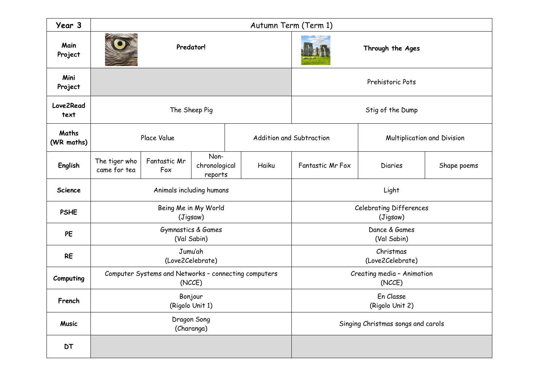| Year 3              | Autumn Term (Term 1)                                           |                     |                                  |  |                          |                                            |                             |             |  |  |
|---------------------|----------------------------------------------------------------|---------------------|----------------------------------|--|--------------------------|--------------------------------------------|-----------------------------|-------------|--|--|
| Main<br>Project     | Predator!                                                      |                     |                                  |  |                          | Through the Ages                           |                             |             |  |  |
| Mini<br>Project     |                                                                |                     |                                  |  |                          | Prehistoric Pots                           |                             |             |  |  |
| Love2Read<br>text   | The Sheep Pig                                                  |                     |                                  |  |                          | Stig of the Dump                           |                             |             |  |  |
| Maths<br>(WR maths) | Place Value                                                    |                     |                                  |  | Addition and Subtraction |                                            | Multiplication and Division |             |  |  |
| English             | The tiger who<br>came for tea                                  | Fantastic Mr<br>Fox | Non-<br>chronological<br>reports |  | Haiku                    | Fantastic Mr Fox                           | <b>Diaries</b>              | Shape poems |  |  |
| <b>Science</b>      | Animals including humans                                       |                     |                                  |  |                          | Light                                      |                             |             |  |  |
| <b>PSHE</b>         | Being Me in My World<br>(Jigsaw)                               |                     |                                  |  |                          | <b>Celebrating Differences</b><br>(Jigsaw) |                             |             |  |  |
| PE                  | Gymnastics & Games<br>(Val Sabin)                              |                     |                                  |  |                          | Dance & Games<br>(Val Sabin)               |                             |             |  |  |
| <b>RE</b>           | Jumu'ah<br>(Love2Celebrate)                                    |                     |                                  |  |                          | Christmas<br>(Love2Celebrate)              |                             |             |  |  |
| Computing           | Computer Systems and Networks - connecting computers<br>(NCCE) |                     |                                  |  |                          | Creating media - Animation<br>(NCCE)       |                             |             |  |  |
| French              | Bonjour<br>(Rigolo Unit 1)                                     |                     |                                  |  |                          | En Classe<br>(Rigolo Unit 2)               |                             |             |  |  |
| <b>Music</b>        | Dragon Song<br>(Charanga)                                      |                     |                                  |  |                          | Singing Christmas songs and carols         |                             |             |  |  |
| <b>DT</b>           |                                                                |                     |                                  |  |                          |                                            |                             |             |  |  |